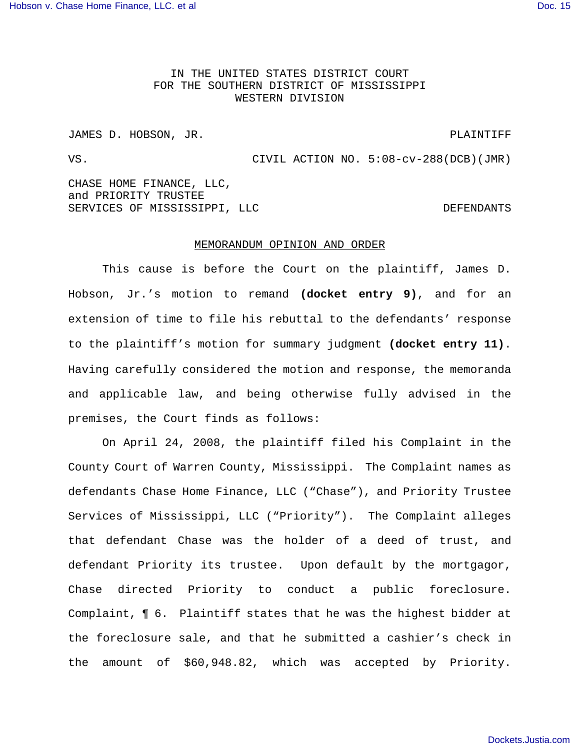IN THE UNITED STATES DISTRICT COURT FOR THE SOUTHERN DISTRICT OF MISSISSIPPI WESTERN DIVISION

JAMES D. HOBSON, JR. PLAINTIFF

VS. CIVIL ACTION NO. 5:08-cv-288(DCB)(JMR)

CHASE HOME FINANCE, LLC, and PRIORITY TRUSTEE SERVICES OF MISSISSIPPI, LLC DEFENDANTS

## MEMORANDUM OPINION AND ORDER

This cause is before the Court on the plaintiff, James D. Hobson, Jr.'s motion to remand **(docket entry 9)**, and for an extension of time to file his rebuttal to the defendants' response to the plaintiff's motion for summary judgment **(docket entry 11)**. Having carefully considered the motion and response, the memoranda and applicable law, and being otherwise fully advised in the premises, the Court finds as follows:

On April 24, 2008, the plaintiff filed his Complaint in the County Court of Warren County, Mississippi. The Complaint names as defendants Chase Home Finance, LLC ("Chase"), and Priority Trustee Services of Mississippi, LLC ("Priority"). The Complaint alleges that defendant Chase was the holder of a deed of trust, and defendant Priority its trustee. Upon default by the mortgagor, Chase directed Priority to conduct a public foreclosure. Complaint, ¶ 6. Plaintiff states that he was the highest bidder at the foreclosure sale, and that he submitted a cashier's check in the amount of \$60,948.82, which was accepted by Priority.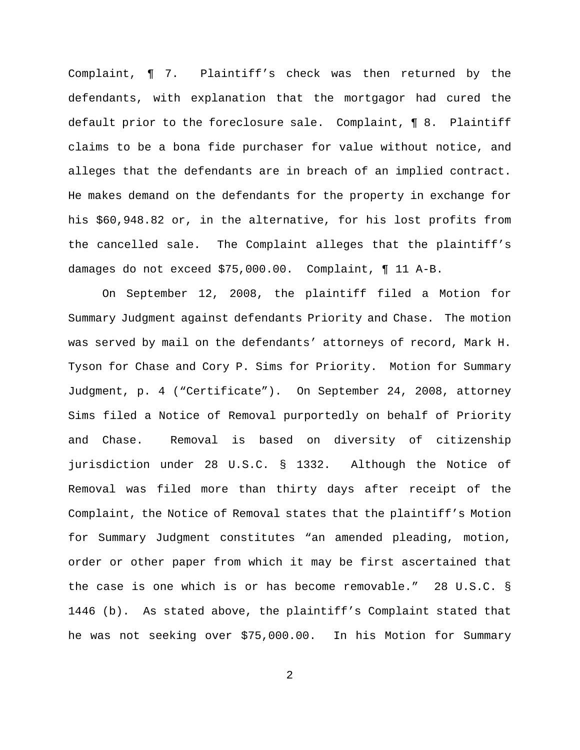Complaint, ¶ 7. Plaintiff's check was then returned by the defendants, with explanation that the mortgagor had cured the default prior to the foreclosure sale. Complaint, ¶ 8. Plaintiff claims to be a bona fide purchaser for value without notice, and alleges that the defendants are in breach of an implied contract. He makes demand on the defendants for the property in exchange for his \$60,948.82 or, in the alternative, for his lost profits from the cancelled sale. The Complaint alleges that the plaintiff's damages do not exceed \$75,000.00. Complaint, ¶ 11 A-B.

On September 12, 2008, the plaintiff filed a Motion for Summary Judgment against defendants Priority and Chase. The motion was served by mail on the defendants' attorneys of record, Mark H. Tyson for Chase and Cory P. Sims for Priority. Motion for Summary Judgment, p. 4 ("Certificate"). On September 24, 2008, attorney Sims filed a Notice of Removal purportedly on behalf of Priority and Chase. Removal is based on diversity of citizenship jurisdiction under 28 U.S.C. § 1332. Although the Notice of Removal was filed more than thirty days after receipt of the Complaint, the Notice of Removal states that the plaintiff's Motion for Summary Judgment constitutes "an amended pleading, motion, order or other paper from which it may be first ascertained that the case is one which is or has become removable." 28 U.S.C. § 1446 (b). As stated above, the plaintiff's Complaint stated that he was not seeking over \$75,000.00. In his Motion for Summary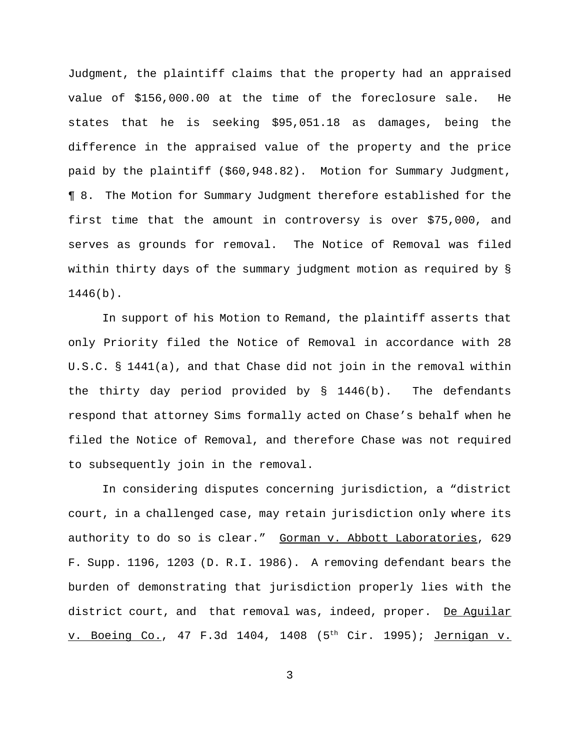Judgment, the plaintiff claims that the property had an appraised value of \$156,000.00 at the time of the foreclosure sale. He states that he is seeking \$95,051.18 as damages, being the difference in the appraised value of the property and the price paid by the plaintiff (\$60,948.82). Motion for Summary Judgment, ¶ 8. The Motion for Summary Judgment therefore established for the first time that the amount in controversy is over \$75,000, and serves as grounds for removal. The Notice of Removal was filed within thirty days of the summary judgment motion as required by § 1446(b).

In support of his Motion to Remand, the plaintiff asserts that only Priority filed the Notice of Removal in accordance with 28 U.S.C. § 1441(a), and that Chase did not join in the removal within the thirty day period provided by  $\S$  1446(b). The defendants respond that attorney Sims formally acted on Chase's behalf when he filed the Notice of Removal, and therefore Chase was not required to subsequently join in the removal.

In considering disputes concerning jurisdiction, a "district court, in a challenged case, may retain jurisdiction only where its authority to do so is clear."Gorman v. Abbott Laboratories, 629 F. Supp. 1196, 1203 (D. R.I. 1986). A removing defendant bears the burden of demonstrating that jurisdiction properly lies with the district court, and that removal was, indeed, proper. De Aguilar v. Boeing Co., 47 F.3d 1404, 1408 (5<sup>th</sup> Cir. 1995); Jernigan v.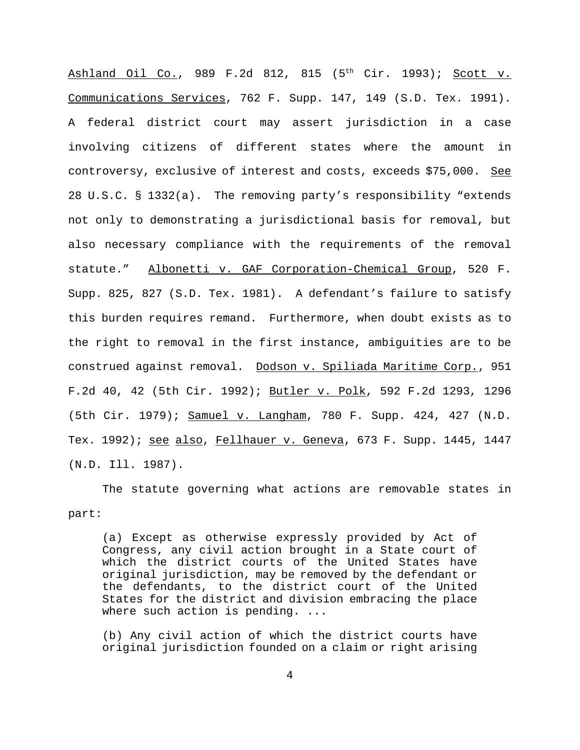Ashland Oil Co., 989 F.2d 812, 815  $(5<sup>th</sup>$  Cir. 1993); Scott v. Communications Services, 762 F. Supp. 147, 149 (S.D. Tex. 1991). A federal district court may assert jurisdiction in a case involving citizens of different states where the amount in controversy, exclusive of interest and costs, exceeds \$75,000. See 28 U.S.C. § 1332(a). The removing party's responsibility "extends not only to demonstrating a jurisdictional basis for removal, but also necessary compliance with the requirements of the removal statute." Albonetti v. GAF Corporation-Chemical Group, 520 F. Supp. 825, 827 (S.D. Tex. 1981). A defendant's failure to satisfy this burden requires remand. Furthermore, when doubt exists as to the right to removal in the first instance, ambiguities are to be construed against removal. Dodson v. Spiliada Maritime Corp., 951 F.2d 40, 42 (5th Cir. 1992); Butler v. Polk, 592 F.2d 1293, 1296 (5th Cir. 1979); Samuel v. Langham, 780 F. Supp. 424, 427 (N.D. Tex. 1992); see also, Fellhauer v. Geneva, 673 F. Supp. 1445, 1447 (N.D. Ill. 1987).

The statute governing what actions are removable states in part:

(a) Except as otherwise expressly provided by Act of Congress, any civil action brought in a State court of which the district courts of the United States have original jurisdiction, may be removed by the defendant or the defendants, to the district court of the United States for the district and division embracing the place where such action is pending. ...

(b) Any civil action of which the district courts have original jurisdiction founded on a claim or right arising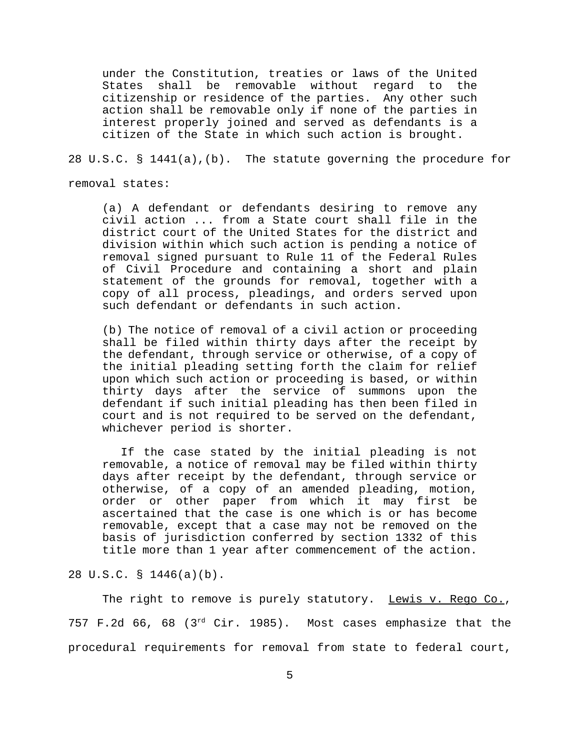under the Constitution, treaties or laws of the United States shall be removable without regard to the citizenship or residence of the parties. Any other such action shall be removable only if none of the parties in interest properly joined and served as defendants is a citizen of the State in which such action is brought.

## 28 U.S.C. § 1441(a),(b). The statute governing the procedure for

removal states:

(a) A defendant or defendants desiring to remove any civil action ... from a State court shall file in the district court of the United States for the district and division within which such action is pending a notice of removal signed pursuant to Rule 11 of the Federal Rules of Civil Procedure and containing a short and plain statement of the grounds for removal, together with a copy of all process, pleadings, and orders served upon such defendant or defendants in such action.

(b) The notice of removal of a civil action or proceeding shall be filed within thirty days after the receipt by the defendant, through service or otherwise, of a copy of the initial pleading setting forth the claim for relief upon which such action or proceeding is based, or within thirty days after the service of summons upon the defendant if such initial pleading has then been filed in court and is not required to be served on the defendant, whichever period is shorter.

 If the case stated by the initial pleading is not removable, a notice of removal may be filed within thirty days after receipt by the defendant, through service or otherwise, of a copy of an amended pleading, motion, order or other paper from which it may first be ascertained that the case is one which is or has become removable, except that a case may not be removed on the basis of jurisdiction conferred by section 1332 of this title more than 1 year after commencement of the action.

28 U.S.C. § 1446(a)(b).

The right to remove is purely statutory. Lewis v. Rego Co., 757 F.2d 66, 68 (3rd Cir. 1985). Most cases emphasize that the procedural requirements for removal from state to federal court,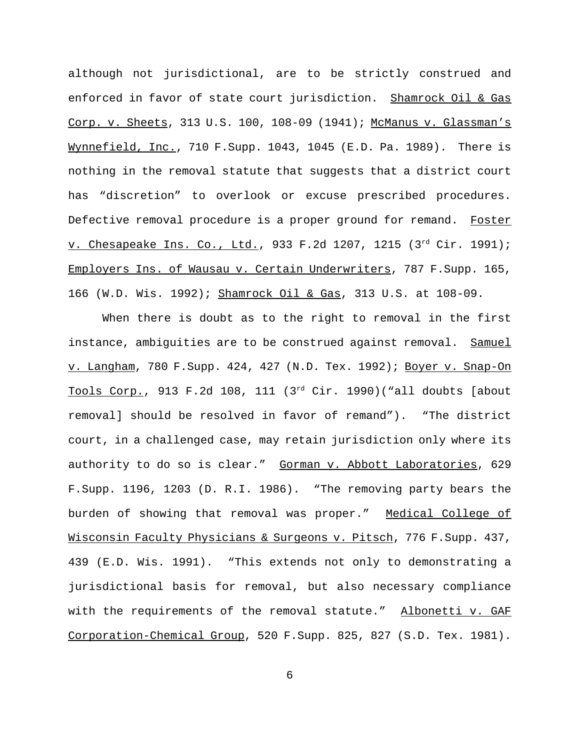although not jurisdictional, are to be strictly construed and enforced in favor of state court jurisdiction. Shamrock Oil & Gas Corp. v. Sheets, 313 U.S. 100, 108-09 (1941); McManus v. Glassman's Wynnefield, Inc., 710 F.Supp. 1043, 1045 (E.D. Pa. 1989). There is nothing in the removal statute that suggests that a district court has "discretion" to overlook or excuse prescribed procedures. Defective removal procedure is a proper ground for remand. Foster v. Chesapeake Ins. Co., Ltd., 933 F.2d 1207, 1215 (3rd Cir. 1991); Employers Ins. of Wausau v. Certain Underwriters, 787 F.Supp. 165, 166 (W.D. Wis. 1992); Shamrock Oil & Gas, 313 U.S. at 108-09.

When there is doubt as to the right to removal in the first instance, ambiguities are to be construed against removal. Samuel v. Langham, 780 F.Supp. 424, 427 (N.D. Tex. 1992); Boyer v. Snap-On Tools Corp., 913 F.2d 108, 111 (3rd Cir. 1990)("all doubts [about removal] should be resolved in favor of remand"). "The district court, in a challenged case, may retain jurisdiction only where its authority to do so is clear." Gorman v. Abbott Laboratories, 629 F.Supp. 1196, 1203 (D. R.I. 1986). "The removing party bears the burden of showing that removal was proper." Medical College of Wisconsin Faculty Physicians & Surgeons v. Pitsch, 776 F.Supp. 437, 439 (E.D. Wis. 1991). "This extends not only to demonstrating a jurisdictional basis for removal, but also necessary compliance with the requirements of the removal statute." Albonetti v. GAF Corporation-Chemical Group, 520 F.Supp. 825, 827 (S.D. Tex. 1981).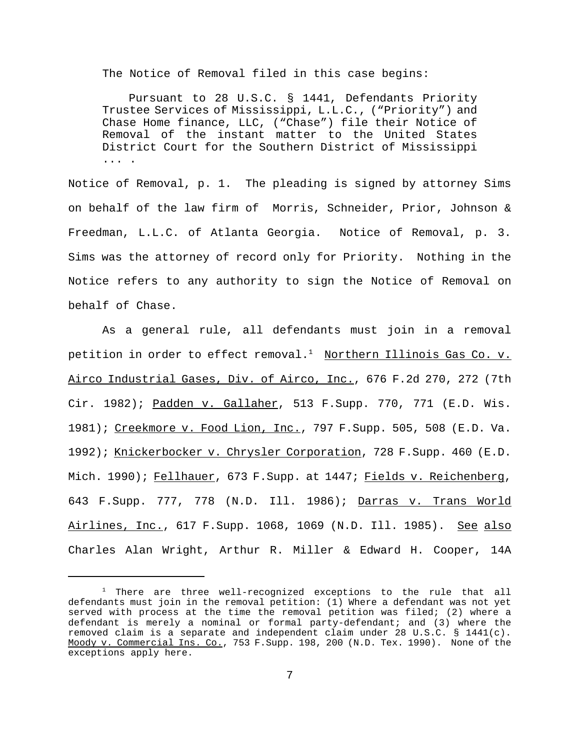The Notice of Removal filed in this case begins:

 Pursuant to 28 U.S.C. § 1441, Defendants Priority Trustee Services of Mississippi, L.L.C., ("Priority") and Chase Home finance, LLC, ("Chase") file their Notice of Removal of the instant matter to the United States District Court for the Southern District of Mississippi ... .

Notice of Removal, p. 1. The pleading is signed by attorney Sims on behalf of the law firm of Morris, Schneider, Prior, Johnson & Freedman, L.L.C. of Atlanta Georgia. Notice of Removal, p. 3. Sims was the attorney of record only for Priority. Nothing in the Notice refers to any authority to sign the Notice of Removal on behalf of Chase.

As a general rule, all defendants must join in a removal petition in order to effect removal.<sup>1</sup> Northern Illinois Gas Co. v. Airco Industrial Gases, Div. of Airco, Inc., 676 F.2d 270, 272 (7th Cir. 1982); Padden v. Gallaher, 513 F.Supp. 770, 771 (E.D. Wis. 1981); Creekmore v. Food Lion, Inc., 797 F. Supp. 505, 508 (E.D. Va. 1992); Knickerbocker v. Chrysler Corporation, 728 F.Supp. 460 (E.D. Mich. 1990); Fellhauer, 673 F.Supp. at 1447; Fields v. Reichenberg, 643 F.Supp. 777, 778 (N.D. Ill. 1986); Darras v. Trans World Airlines, Inc., 617 F. Supp. 1068, 1069 (N.D. Ill. 1985). See also Charles Alan Wright, Arthur R. Miller & Edward H. Cooper, 14A

 $1$  There are three well-recognized exceptions to the rule that all defendants must join in the removal petition: (1) Where a defendant was not yet served with process at the time the removal petition was filed; (2) where a defendant is merely a nominal or formal party-defendant; and (3) where the removed claim is a separate and independent claim under 28 U.S.C. § 1441(c). Moody v. Commercial Ins. Co., 753 F.Supp. 198, 200 (N.D. Tex. 1990). None of the exceptions apply here.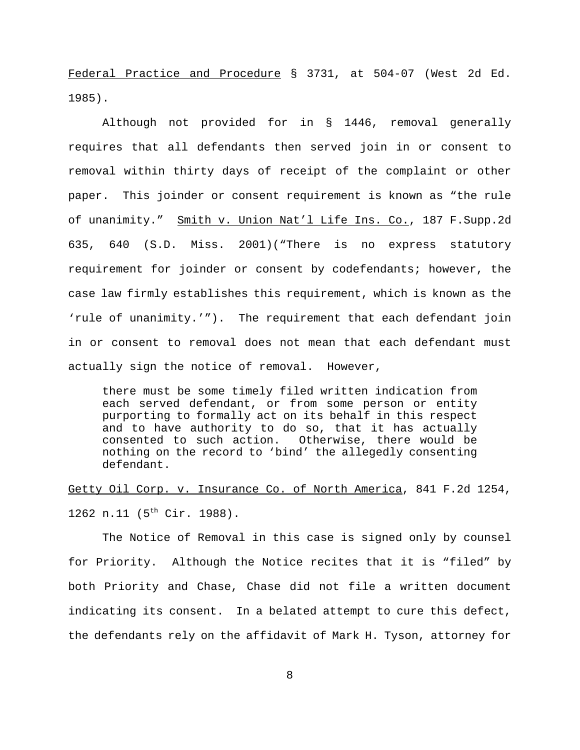Federal Practice and Procedure § 3731, at 504-07 (West 2d Ed. 1985).

Although not provided for in § 1446, removal generally requires that all defendants then served join in or consent to removal within thirty days of receipt of the complaint or other paper. This joinder or consent requirement is known as "the rule of unanimity." Smith v. Union Nat'l Life Ins. Co., 187 F.Supp.2d 635, 640 (S.D. Miss. 2001)("There is no express statutory requirement for joinder or consent by codefendants; however, the case law firmly establishes this requirement, which is known as the 'rule of unanimity.'"). The requirement that each defendant join in or consent to removal does not mean that each defendant must actually sign the notice of removal. However,

there must be some timely filed written indication from each served defendant, or from some person or entity purporting to formally act on its behalf in this respect and to have authority to do so, that it has actually consented to such action. Otherwise, there would be nothing on the record to 'bind' the allegedly consenting defendant.

Getty Oil Corp. v. Insurance Co. of North America, 841 F.2d 1254, 1262 n.11 (5<sup>th</sup> Cir. 1988).

The Notice of Removal in this case is signed only by counsel for Priority. Although the Notice recites that it is "filed" by both Priority and Chase, Chase did not file a written document indicating its consent. In a belated attempt to cure this defect, the defendants rely on the affidavit of Mark H. Tyson, attorney for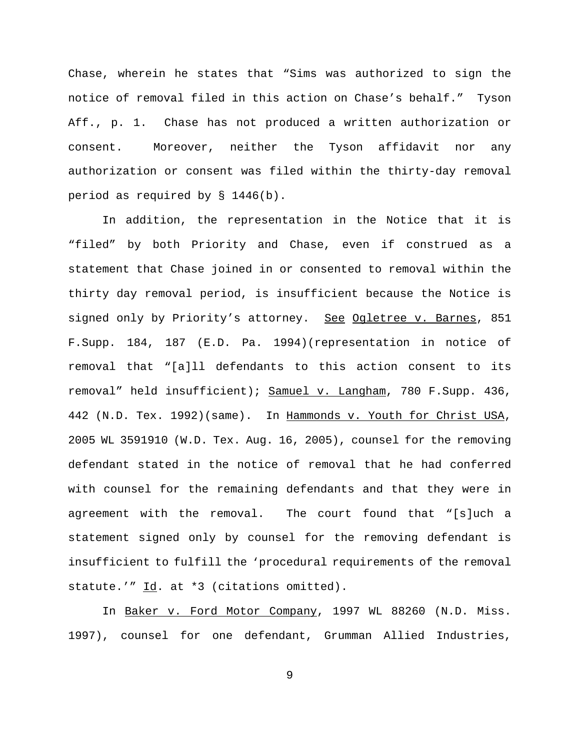Chase, wherein he states that "Sims was authorized to sign the notice of removal filed in this action on Chase's behalf." Tyson Aff., p. 1. Chase has not produced a written authorization or consent. Moreover, neither the Tyson affidavit nor any authorization or consent was filed within the thirty-day removal period as required by § 1446(b).

In addition, the representation in the Notice that it is "filed" by both Priority and Chase, even if construed as a statement that Chase joined in or consented to removal within the thirty day removal period, is insufficient because the Notice is signed only by Priority's attorney. See Ogletree v. Barnes, 851 F.Supp. 184, 187 (E.D. Pa. 1994)(representation in notice of removal that "[a]ll defendants to this action consent to its removal" held insufficient); Samuel v. Langham, 780 F.Supp. 436, 442 (N.D. Tex. 1992)(same). In Hammonds v. Youth for Christ USA, 2005 WL 3591910 (W.D. Tex. Aug. 16, 2005), counsel for the removing defendant stated in the notice of removal that he had conferred with counsel for the remaining defendants and that they were in agreement with the removal. The court found that "[s]uch a statement signed only by counsel for the removing defendant is insufficient to fulfill the 'procedural requirements of the removal statute.'"  $\underline{Id}$ . at \*3 (citations omitted).

In Baker v. Ford Motor Company, 1997 WL 88260 (N.D. Miss. 1997), counsel for one defendant, Grumman Allied Industries,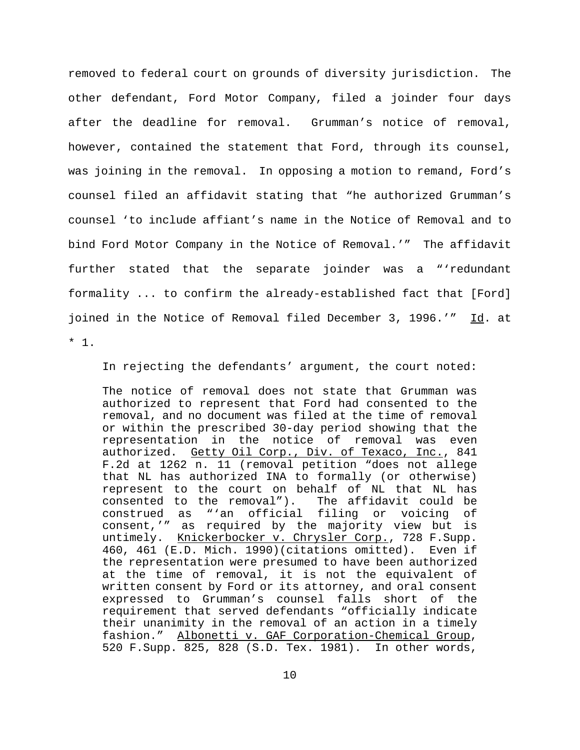removed to federal court on grounds of diversity jurisdiction. The other defendant, Ford Motor Company, filed a joinder four days after the deadline for removal. Grumman's notice of removal, however, contained the statement that Ford, through its counsel, was joining in the removal. In opposing a motion to remand, Ford's counsel filed an affidavit stating that "he authorized Grumman's counsel 'to include affiant's name in the Notice of Removal and to bind Ford Motor Company in the Notice of Removal.'" The affidavit further stated that the separate joinder was a "'redundant formality ... to confirm the already-established fact that [Ford] joined in the Notice of Removal filed December 3, 1996.'" Id. at \* 1.

In rejecting the defendants' argument, the court noted:

The notice of removal does not state that Grumman was authorized to represent that Ford had consented to the removal, and no document was filed at the time of removal or within the prescribed 30-day period showing that the representation in the notice of removal was even authorized. Getty Oil Corp., Div. of Texaco, Inc., 841 F.2d at 1262 n. 11 (removal petition "does not allege that NL has authorized INA to formally (or otherwise) represent to the court on behalf of NL that NL has consented to the removal"). The affidavit could be construed as "'an official filing or voicing of consent,'" as required by the majority view but is untimely. Knickerbocker v. Chrysler Corp., 728 F.Supp. 460, 461 (E.D. Mich. 1990)(citations omitted). Even if the representation were presumed to have been authorized at the time of removal, it is not the equivalent of written consent by Ford or its attorney, and oral consent expressed to Grumman's counsel falls short of the requirement that served defendants "officially indicate their unanimity in the removal of an action in a timely fashion." Albonetti v. GAF Corporation-Chemical Group, 520 F.Supp. 825, 828 (S.D. Tex. 1981). In other words,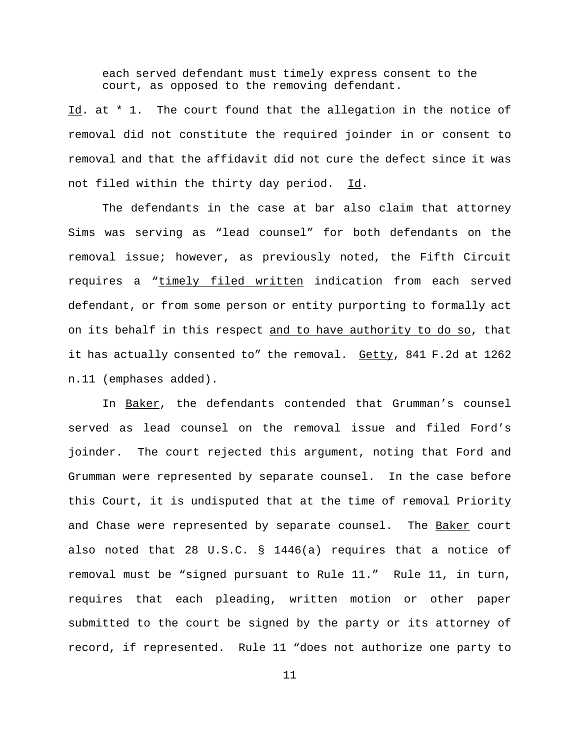each served defendant must timely express consent to the court, as opposed to the removing defendant.

Id. at \* 1. The court found that the allegation in the notice of removal did not constitute the required joinder in or consent to removal and that the affidavit did not cure the defect since it was not filed within the thirty day period. Id.

The defendants in the case at bar also claim that attorney Sims was serving as "lead counsel" for both defendants on the removal issue; however, as previously noted, the Fifth Circuit requires a "timely filed written indication from each served defendant, or from some person or entity purporting to formally act on its behalf in this respect and to have authority to do so, that it has actually consented to" the removal. Getty, 841 F.2d at 1262 n.11 (emphases added).

In Baker, the defendants contended that Grumman's counsel served as lead counsel on the removal issue and filed Ford's joinder. The court rejected this argument, noting that Ford and Grumman were represented by separate counsel. In the case before this Court, it is undisputed that at the time of removal Priority and Chase were represented by separate counsel. The Baker court also noted that 28 U.S.C. § 1446(a) requires that a notice of removal must be "signed pursuant to Rule 11." Rule 11, in turn, requires that each pleading, written motion or other paper submitted to the court be signed by the party or its attorney of record, if represented. Rule 11 "does not authorize one party to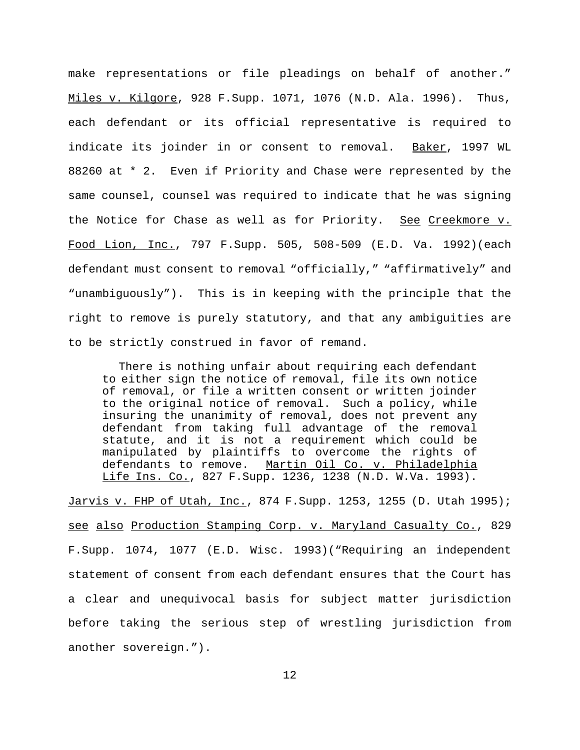make representations or file pleadings on behalf of another." Miles v. Kilgore, 928 F.Supp. 1071, 1076 (N.D. Ala. 1996). Thus, each defendant or its official representative is required to indicate its joinder in or consent to removal. Baker, 1997 WL 88260 at \* 2. Even if Priority and Chase were represented by the same counsel, counsel was required to indicate that he was signing the Notice for Chase as well as for Priority. See Creekmore v. Food Lion, Inc., 797 F.Supp. 505, 508-509 (E.D. Va. 1992)(each defendant must consent to removal "officially," "affirmatively" and "unambiguously"). This is in keeping with the principle that the right to remove is purely statutory, and that any ambiguities are to be strictly construed in favor of remand.

 There is nothing unfair about requiring each defendant to either sign the notice of removal, file its own notice of removal, or file a written consent or written joinder to the original notice of removal. Such a policy, while insuring the unanimity of removal, does not prevent any defendant from taking full advantage of the removal statute, and it is not a requirement which could be manipulated by plaintiffs to overcome the rights of defendants to remove. Martin Oil Co. v. Philadelphia Life Ins. Co., 827 F.Supp. 1236, 1238 (N.D. W.Va. 1993).

Jarvis v. FHP of Utah, Inc., 874 F. Supp. 1253, 1255 (D. Utah 1995); see also Production Stamping Corp. v. Maryland Casualty Co., 829 F.Supp. 1074, 1077 (E.D. Wisc. 1993)("Requiring an independent statement of consent from each defendant ensures that the Court has a clear and unequivocal basis for subject matter jurisdiction before taking the serious step of wrestling jurisdiction from another sovereign.").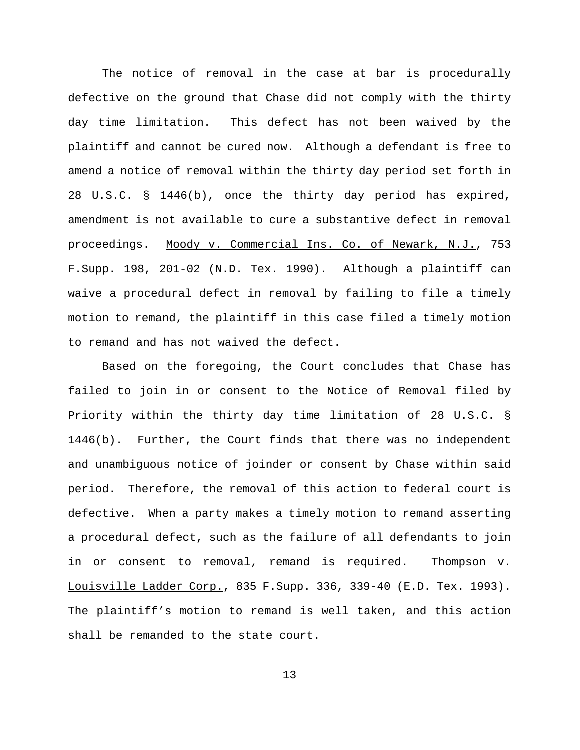The notice of removal in the case at bar is procedurally defective on the ground that Chase did not comply with the thirty day time limitation. This defect has not been waived by the plaintiff and cannot be cured now. Although a defendant is free to amend a notice of removal within the thirty day period set forth in 28 U.S.C. § 1446(b), once the thirty day period has expired, amendment is not available to cure a substantive defect in removal proceedings. Moody v. Commercial Ins. Co. of Newark, N.J., 753 F.Supp. 198, 201-02 (N.D. Tex. 1990). Although a plaintiff can waive a procedural defect in removal by failing to file a timely motion to remand, the plaintiff in this case filed a timely motion to remand and has not waived the defect.

Based on the foregoing, the Court concludes that Chase has failed to join in or consent to the Notice of Removal filed by Priority within the thirty day time limitation of 28 U.S.C. § 1446(b). Further, the Court finds that there was no independent and unambiguous notice of joinder or consent by Chase within said period. Therefore, the removal of this action to federal court is defective. When a party makes a timely motion to remand asserting a procedural defect, such as the failure of all defendants to join in or consent to removal, remand is required. Thompson v. Louisville Ladder Corp., 835 F.Supp. 336, 339-40 (E.D. Tex. 1993). The plaintiff's motion to remand is well taken, and this action shall be remanded to the state court.